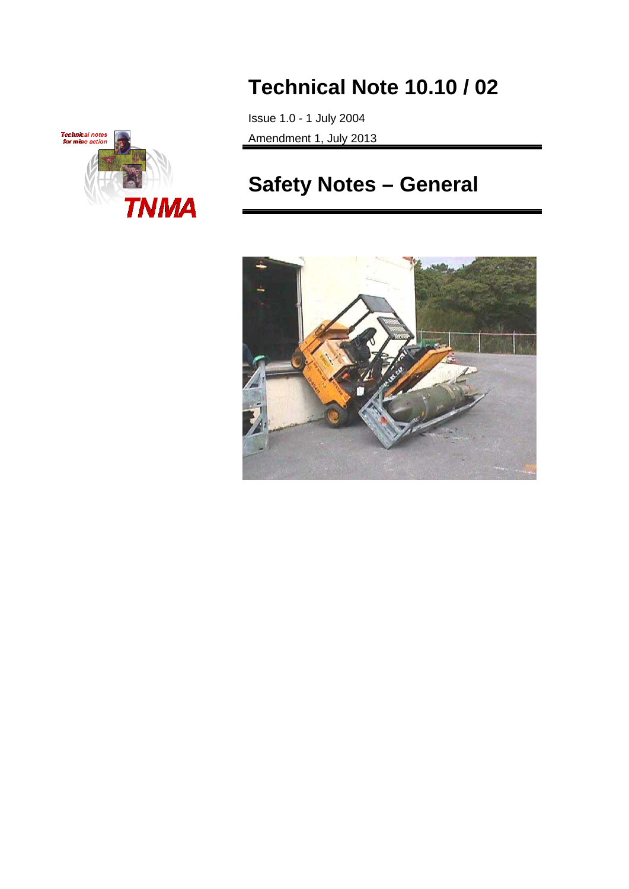

# **Technical Note 10.10 / 02**

Issue 1.0 - 1 July 2004 Amendment 1, July 2013

# **Safety Notes – General**

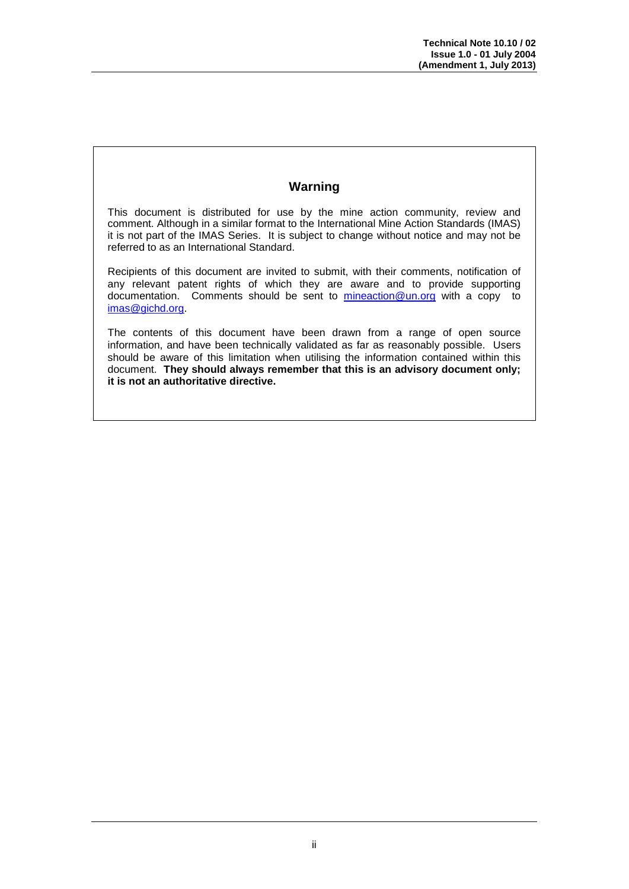## **Warning**

This document is distributed for use by the mine action community, review and comment. Although in a similar format to the International Mine Action Standards (IMAS) it is not part of the IMAS Series. It is subject to change without notice and may not be referred to as an International Standard.

Recipients of this document are invited to submit, with their comments, notification of any relevant patent rights of which they are aware and to provide supporting documentation. Comments should be sent to [mineaction@un.org](mailto:mineaction@un.org) with a copy to [imas@gichd.org.](mailto:imas@gichd.org)

The contents of this document have been drawn from a range of open source information, and have been technically validated as far as reasonably possible. Users should be aware of this limitation when utilising the information contained within this document. **They should always remember that this is an advisory document only; it is not an authoritative directive.**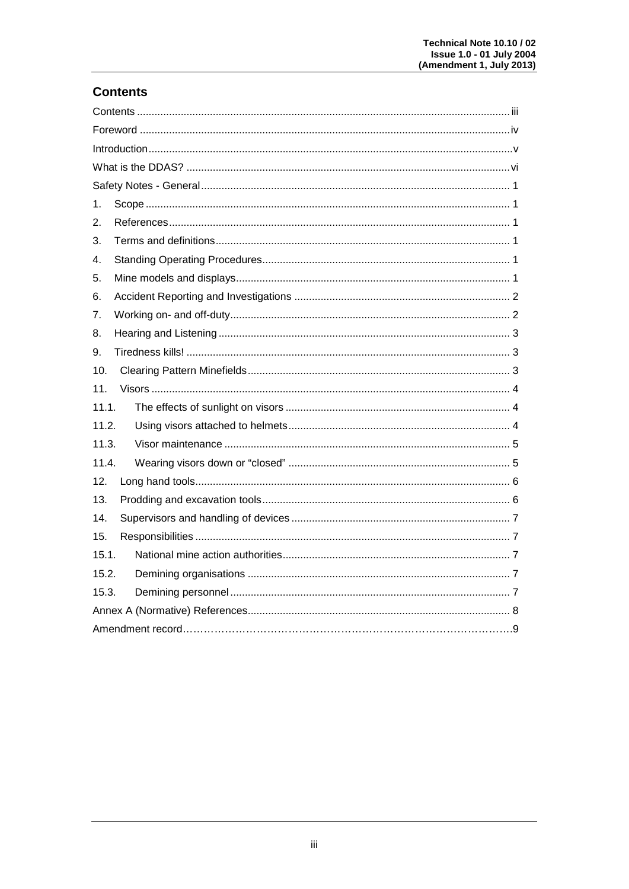# **Contents**

| 1.    |  |  |  |
|-------|--|--|--|
| 2.    |  |  |  |
| 3.    |  |  |  |
| 4.    |  |  |  |
| 5.    |  |  |  |
| 6.    |  |  |  |
| 7.    |  |  |  |
| 8.    |  |  |  |
| 9.    |  |  |  |
| 10.   |  |  |  |
| 11.   |  |  |  |
| 11.1. |  |  |  |
| 11.2. |  |  |  |
| 11.3. |  |  |  |
| 11.4. |  |  |  |
| 12.   |  |  |  |
| 13.   |  |  |  |
| 14.   |  |  |  |
| 15.   |  |  |  |
| 15.1. |  |  |  |
| 15.2. |  |  |  |
| 15.3. |  |  |  |
|       |  |  |  |
|       |  |  |  |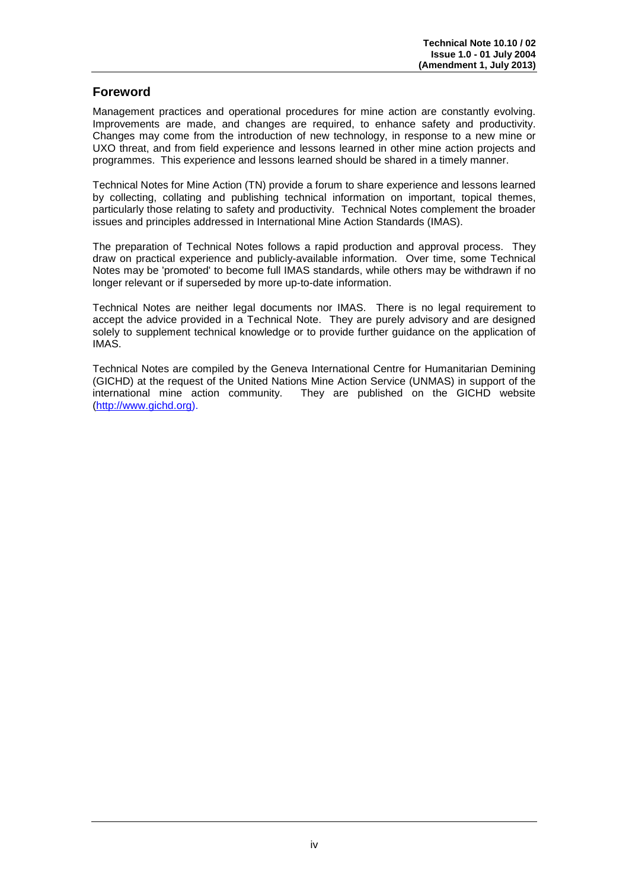## **Foreword**

Management practices and operational procedures for mine action are constantly evolving. Improvements are made, and changes are required, to enhance safety and productivity. Changes may come from the introduction of new technology, in response to a new mine or UXO threat, and from field experience and lessons learned in other mine action projects and programmes. This experience and lessons learned should be shared in a timely manner.

Technical Notes for Mine Action (TN) provide a forum to share experience and lessons learned by collecting, collating and publishing technical information on important, topical themes, particularly those relating to safety and productivity. Technical Notes complement the broader issues and principles addressed in International Mine Action Standards (IMAS).

The preparation of Technical Notes follows a rapid production and approval process. They draw on practical experience and publicly-available information. Over time, some Technical Notes may be 'promoted' to become full IMAS standards, while others may be withdrawn if no longer relevant or if superseded by more up-to-date information.

Technical Notes are neither legal documents nor IMAS. There is no legal requirement to accept the advice provided in a Technical Note. They are purely advisory and are designed solely to supplement technical knowledge or to provide further guidance on the application of IMAS.

Technical Notes are compiled by the Geneva International Centre for Humanitarian Demining (GICHD) at the request of the United Nations Mine Action Service (UNMAS) in support of the They are published on the GICHD website [\(http://www.gichd.org\)](http://www.gichd.ch/).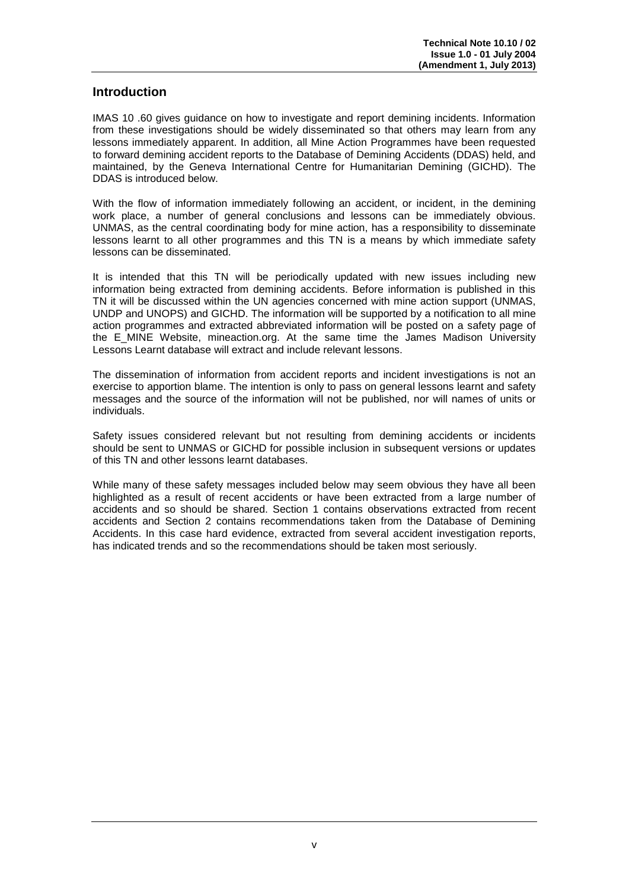#### **Introduction**

IMAS 10 .60 gives guidance on how to investigate and report demining incidents. Information from these investigations should be widely disseminated so that others may learn from any lessons immediately apparent. In addition, all Mine Action Programmes have been requested to forward demining accident reports to the Database of Demining Accidents (DDAS) held, and maintained, by the Geneva International Centre for Humanitarian Demining (GICHD). The DDAS is introduced below.

With the flow of information immediately following an accident, or incident, in the demining work place, a number of general conclusions and lessons can be immediately obvious. UNMAS, as the central coordinating body for mine action, has a responsibility to disseminate lessons learnt to all other programmes and this TN is a means by which immediate safety lessons can be disseminated.

It is intended that this TN will be periodically updated with new issues including new information being extracted from demining accidents. Before information is published in this TN it will be discussed within the UN agencies concerned with mine action support (UNMAS, UNDP and UNOPS) and GICHD. The information will be supported by a notification to all mine action programmes and extracted abbreviated information will be posted on a safety page of the E\_MINE Website, mineaction.org. At the same time the James Madison University Lessons Learnt database will extract and include relevant lessons.

The dissemination of information from accident reports and incident investigations is not an exercise to apportion blame. The intention is only to pass on general lessons learnt and safety messages and the source of the information will not be published, nor will names of units or individuals.

Safety issues considered relevant but not resulting from demining accidents or incidents should be sent to UNMAS or GICHD for possible inclusion in subsequent versions or updates of this TN and other lessons learnt databases.

While many of these safety messages included below may seem obvious they have all been highlighted as a result of recent accidents or have been extracted from a large number of accidents and so should be shared. Section 1 contains observations extracted from recent accidents and Section 2 contains recommendations taken from the Database of Demining Accidents. In this case hard evidence, extracted from several accident investigation reports, has indicated trends and so the recommendations should be taken most seriously.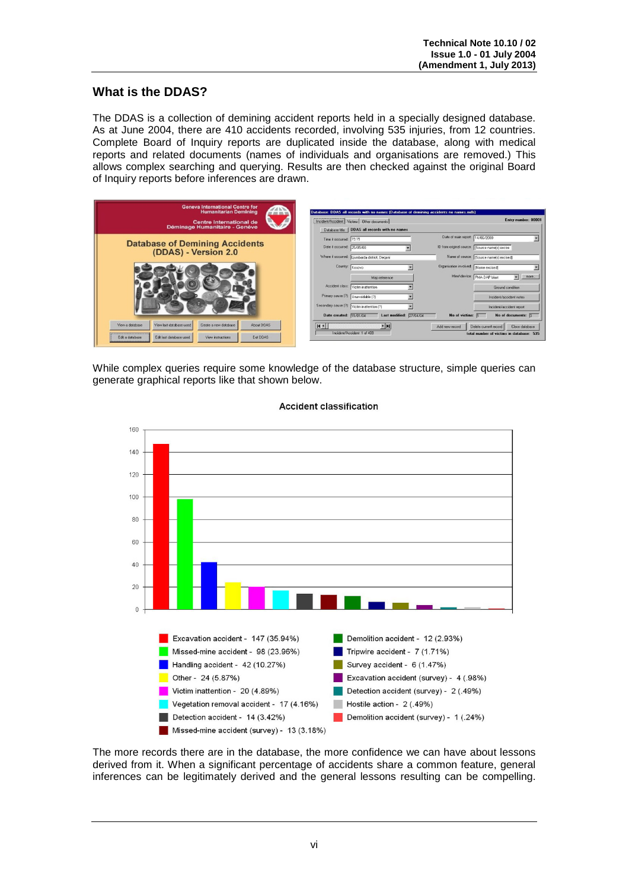## **What is the DDAS?**

The DDAS is a collection of demining accident reports held in a specially designed database. As at June 2004, there are 410 accidents recorded, involving 535 injuries, from 12 countries. Complete Board of Inquiry reports are duplicated inside the database, along with medical reports and related documents (names of individuals and organisations are removed.) This allows complex searching and querying. Results are then checked against the original Board of Inquiry reports before inferences are drawn.



While complex queries require some knowledge of the database structure, simple queries can generate graphical reports like that shown below.



#### **Accident classification**

The more records there are in the database, the more confidence we can have about lessons derived from it. When a significant percentage of accidents share a common feature, general inferences can be legitimately derived and the general lessons resulting can be compelling.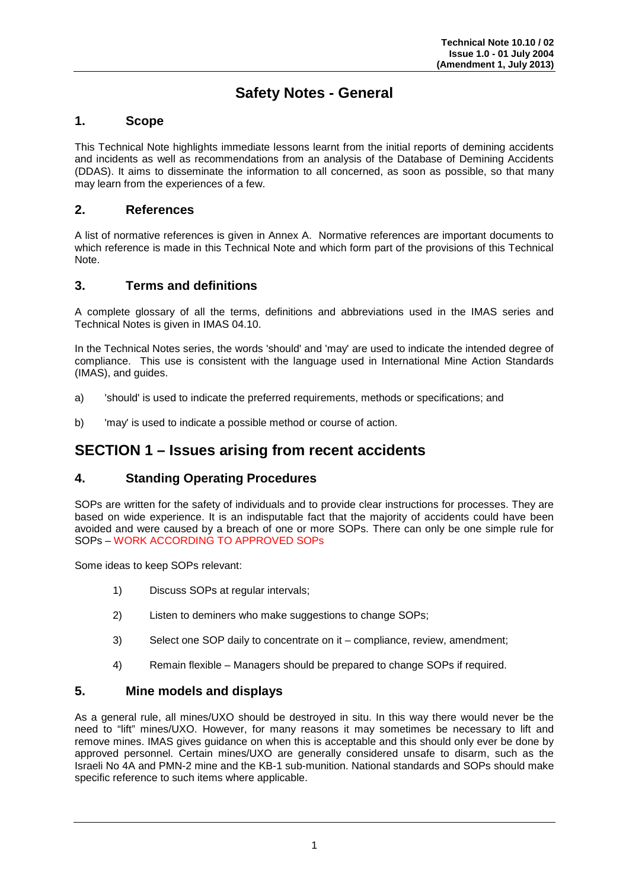# **Safety Notes - General**

#### **1. Scope**

This Technical Note highlights immediate lessons learnt from the initial reports of demining accidents and incidents as well as recommendations from an analysis of the Database of Demining Accidents (DDAS). It aims to disseminate the information to all concerned, as soon as possible, so that many may learn from the experiences of a few.

#### **2. References**

A list of normative references is given in Annex A. Normative references are important documents to which reference is made in this Technical Note and which form part of the provisions of this Technical Note.

#### **3. Terms and definitions**

A complete glossary of all the terms, definitions and abbreviations used in the IMAS series and Technical Notes is given in IMAS 04.10.

In the Technical Notes series, the words 'should' and 'may' are used to indicate the intended degree of compliance. This use is consistent with the language used in International Mine Action Standards (IMAS), and guides.

- a) 'should' is used to indicate the preferred requirements, methods or specifications; and
- b) 'may' is used to indicate a possible method or course of action.

# **SECTION 1 – Issues arising from recent accidents**

#### **4. Standing Operating Procedures**

SOPs are written for the safety of individuals and to provide clear instructions for processes. They are based on wide experience. It is an indisputable fact that the majority of accidents could have been avoided and were caused by a breach of one or more SOPs. There can only be one simple rule for SOPs – WORK ACCORDING TO APPROVED SOPs

Some ideas to keep SOPs relevant:

- 1) Discuss SOPs at regular intervals;
- 2) Listen to deminers who make suggestions to change SOPs;
- 3) Select one SOP daily to concentrate on it compliance, review, amendment;
- 4) Remain flexible Managers should be prepared to change SOPs if required.

#### **5. Mine models and displays**

As a general rule, all mines/UXO should be destroyed in situ. In this way there would never be the need to "lift" mines/UXO. However, for many reasons it may sometimes be necessary to lift and remove mines. IMAS gives guidance on when this is acceptable and this should only ever be done by approved personnel. Certain mines/UXO are generally considered unsafe to disarm, such as the Israeli No 4A and PMN-2 mine and the KB-1 sub-munition. National standards and SOPs should make specific reference to such items where applicable.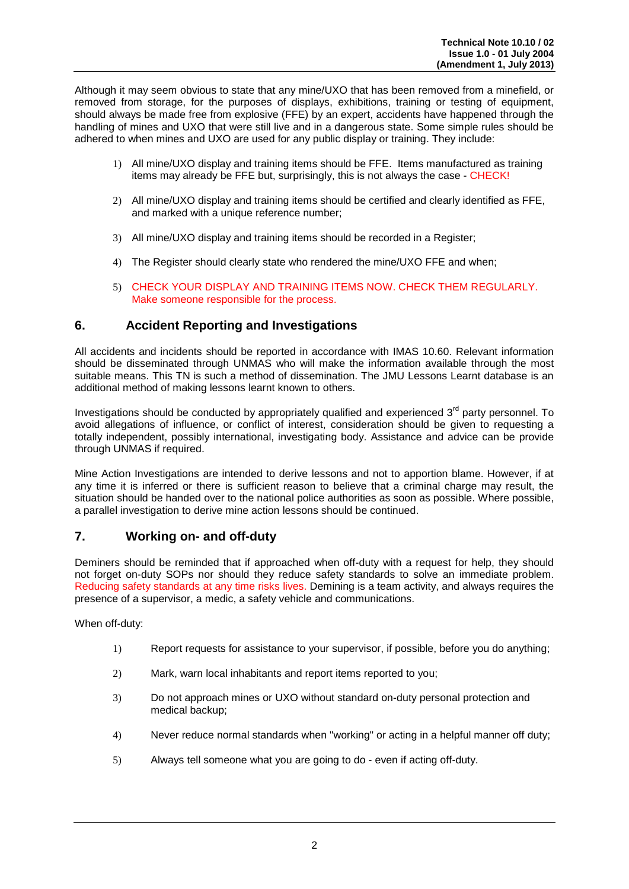Although it may seem obvious to state that any mine/UXO that has been removed from a minefield, or removed from storage, for the purposes of displays, exhibitions, training or testing of equipment, should always be made free from explosive (FFE) by an expert, accidents have happened through the handling of mines and UXO that were still live and in a dangerous state. Some simple rules should be adhered to when mines and UXO are used for any public display or training. They include:

- 1) All mine/UXO display and training items should be FFE. Items manufactured as training items may already be FFE but, surprisingly, this is not always the case - CHECK!
- 2) All mine/UXO display and training items should be certified and clearly identified as FFE, and marked with a unique reference number;
- 3) All mine/UXO display and training items should be recorded in a Register;
- 4) The Register should clearly state who rendered the mine/UXO FFE and when;
- 5) CHECK YOUR DISPLAY AND TRAINING ITEMS NOW. CHECK THEM REGULARLY. Make someone responsible for the process.

#### **6. Accident Reporting and Investigations**

All accidents and incidents should be reported in accordance with IMAS 10.60. Relevant information should be disseminated through UNMAS who will make the information available through the most suitable means. This TN is such a method of dissemination. The JMU Lessons Learnt database is an additional method of making lessons learnt known to others.

Investigations should be conducted by appropriately qualified and experienced 3<sup>rd</sup> party personnel. To avoid allegations of influence, or conflict of interest, consideration should be given to requesting a totally independent, possibly international, investigating body. Assistance and advice can be provide through UNMAS if required.

Mine Action Investigations are intended to derive lessons and not to apportion blame. However, if at any time it is inferred or there is sufficient reason to believe that a criminal charge may result, the situation should be handed over to the national police authorities as soon as possible. Where possible, a parallel investigation to derive mine action lessons should be continued.

#### **7. Working on- and off-duty**

Deminers should be reminded that if approached when off-duty with a request for help, they should not forget on-duty SOPs nor should they reduce safety standards to solve an immediate problem. Reducing safety standards at any time risks lives. Demining is a team activity, and always requires the presence of a supervisor, a medic, a safety vehicle and communications.

When off-duty:

- 1) Report requests for assistance to your supervisor, if possible, before you do anything;
- 2) Mark, warn local inhabitants and report items reported to you;
- 3) Do not approach mines or UXO without standard on-duty personal protection and medical backup;
- 4) Never reduce normal standards when "working" or acting in a helpful manner off duty;
- 5) Always tell someone what you are going to do even if acting off-duty.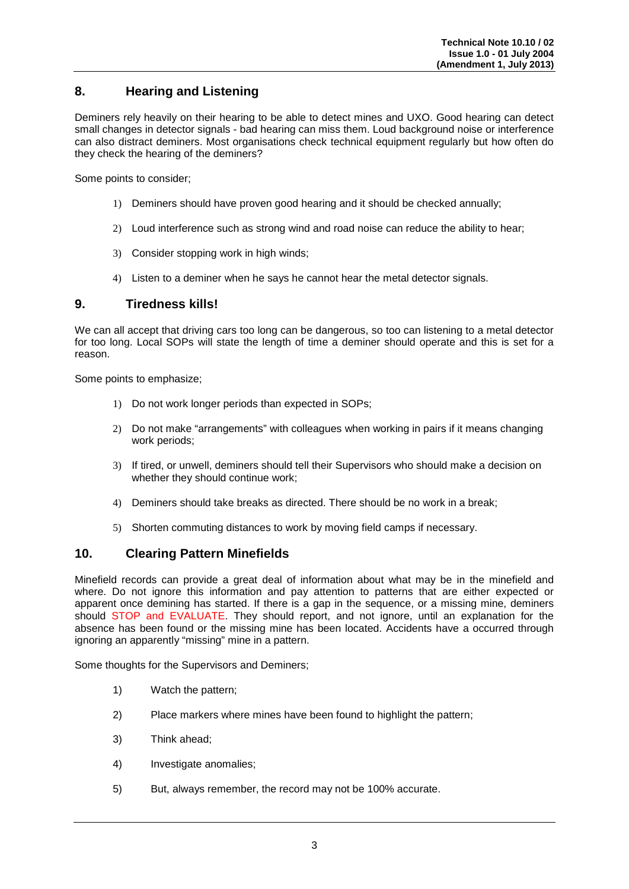## **8. Hearing and Listening**

Deminers rely heavily on their hearing to be able to detect mines and UXO. Good hearing can detect small changes in detector signals - bad hearing can miss them. Loud background noise or interference can also distract deminers. Most organisations check technical equipment regularly but how often do they check the hearing of the deminers?

Some points to consider;

- 1) Deminers should have proven good hearing and it should be checked annually;
- 2) Loud interference such as strong wind and road noise can reduce the ability to hear;
- 3) Consider stopping work in high winds;
- 4) Listen to a deminer when he says he cannot hear the metal detector signals.

#### **9. Tiredness kills!**

We can all accept that driving cars too long can be dangerous, so too can listening to a metal detector for too long. Local SOPs will state the length of time a deminer should operate and this is set for a reason.

Some points to emphasize;

- 1) Do not work longer periods than expected in SOPs;
- 2) Do not make "arrangements" with colleagues when working in pairs if it means changing work periods;
- 3) If tired, or unwell, deminers should tell their Supervisors who should make a decision on whether they should continue work;
- 4) Deminers should take breaks as directed. There should be no work in a break;
- 5) Shorten commuting distances to work by moving field camps if necessary.

#### **10. Clearing Pattern Minefields**

Minefield records can provide a great deal of information about what may be in the minefield and where. Do not ignore this information and pay attention to patterns that are either expected or apparent once demining has started. If there is a gap in the sequence, or a missing mine, deminers should STOP and EVALUATE. They should report, and not ignore, until an explanation for the absence has been found or the missing mine has been located. Accidents have a occurred through ignoring an apparently "missing" mine in a pattern.

Some thoughts for the Supervisors and Deminers;

- 1) Watch the pattern;
- 2) Place markers where mines have been found to highlight the pattern;
- 3) Think ahead;
- 4) Investigate anomalies;
- 5) But, always remember, the record may not be 100% accurate.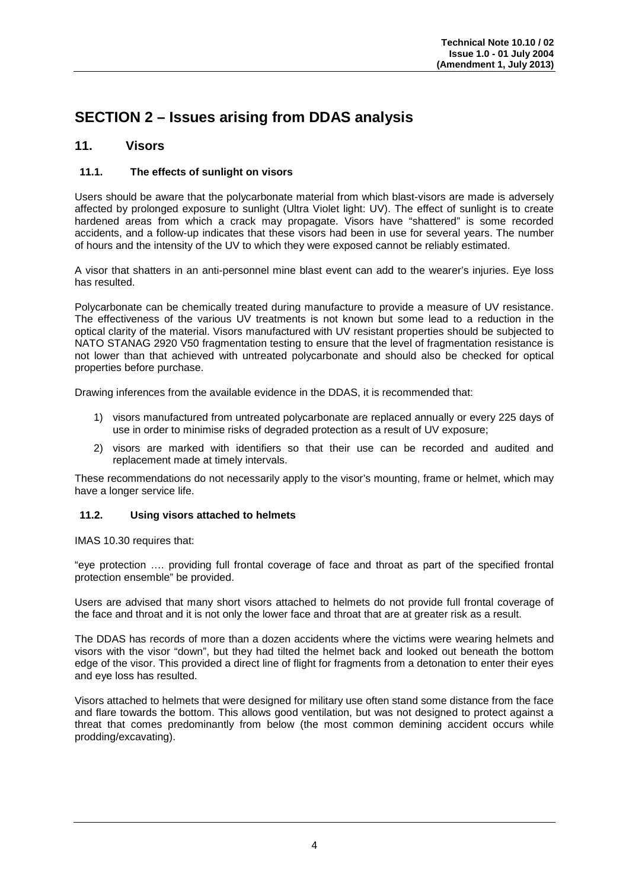# **SECTION 2 – Issues arising from DDAS analysis**

#### **11. Visors**

#### **11.1. The effects of sunlight on visors**

Users should be aware that the polycarbonate material from which blast-visors are made is adversely affected by prolonged exposure to sunlight (Ultra Violet light: UV). The effect of sunlight is to create hardened areas from which a crack may propagate. Visors have "shattered" is some recorded accidents, and a follow-up indicates that these visors had been in use for several years. The number of hours and the intensity of the UV to which they were exposed cannot be reliably estimated.

A visor that shatters in an anti-personnel mine blast event can add to the wearer's injuries. Eye loss has resulted.

Polycarbonate can be chemically treated during manufacture to provide a measure of UV resistance. The effectiveness of the various UV treatments is not known but some lead to a reduction in the optical clarity of the material. Visors manufactured with UV resistant properties should be subjected to NATO STANAG 2920 V50 fragmentation testing to ensure that the level of fragmentation resistance is not lower than that achieved with untreated polycarbonate and should also be checked for optical properties before purchase.

Drawing inferences from the available evidence in the DDAS, it is recommended that:

- 1) visors manufactured from untreated polycarbonate are replaced annually or every 225 days of use in order to minimise risks of degraded protection as a result of UV exposure;
- 2) visors are marked with identifiers so that their use can be recorded and audited and replacement made at timely intervals.

These recommendations do not necessarily apply to the visor's mounting, frame or helmet, which may have a longer service life.

#### **11.2. Using visors attached to helmets**

IMAS 10.30 requires that:

"eye protection …. providing full frontal coverage of face and throat as part of the specified frontal protection ensemble" be provided.

Users are advised that many short visors attached to helmets do not provide full frontal coverage of the face and throat and it is not only the lower face and throat that are at greater risk as a result.

The DDAS has records of more than a dozen accidents where the victims were wearing helmets and visors with the visor "down", but they had tilted the helmet back and looked out beneath the bottom edge of the visor. This provided a direct line of flight for fragments from a detonation to enter their eyes and eye loss has resulted.

Visors attached to helmets that were designed for military use often stand some distance from the face and flare towards the bottom. This allows good ventilation, but was not designed to protect against a threat that comes predominantly from below (the most common demining accident occurs while prodding/excavating).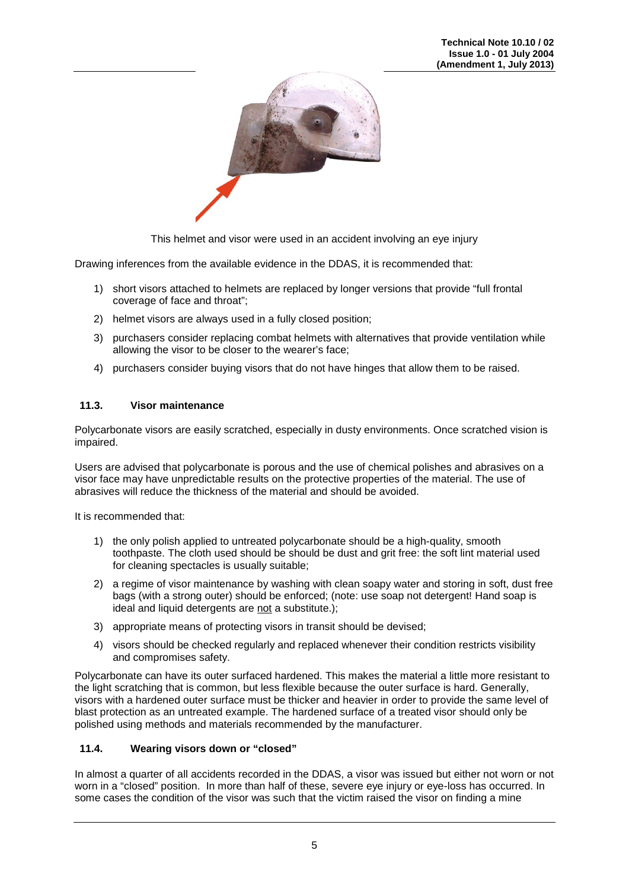

This helmet and visor were used in an accident involving an eye injury

Drawing inferences from the available evidence in the DDAS, it is recommended that:

- 1) short visors attached to helmets are replaced by longer versions that provide "full frontal coverage of face and throat";
- 2) helmet visors are always used in a fully closed position;
- 3) purchasers consider replacing combat helmets with alternatives that provide ventilation while allowing the visor to be closer to the wearer's face;
- 4) purchasers consider buying visors that do not have hinges that allow them to be raised.

#### **11.3. Visor maintenance**

Polycarbonate visors are easily scratched, especially in dusty environments. Once scratched vision is impaired.

Users are advised that polycarbonate is porous and the use of chemical polishes and abrasives on a visor face may have unpredictable results on the protective properties of the material. The use of abrasives will reduce the thickness of the material and should be avoided.

It is recommended that:

- 1) the only polish applied to untreated polycarbonate should be a high-quality, smooth toothpaste. The cloth used should be should be dust and grit free: the soft lint material used for cleaning spectacles is usually suitable;
- 2) a regime of visor maintenance by washing with clean soapy water and storing in soft, dust free bags (with a strong outer) should be enforced; (note: use soap not detergent! Hand soap is ideal and liquid detergents are not a substitute.);
- 3) appropriate means of protecting visors in transit should be devised;
- 4) visors should be checked regularly and replaced whenever their condition restricts visibility and compromises safety.

Polycarbonate can have its outer surfaced hardened. This makes the material a little more resistant to the light scratching that is common, but less flexible because the outer surface is hard. Generally, visors with a hardened outer surface must be thicker and heavier in order to provide the same level of blast protection as an untreated example. The hardened surface of a treated visor should only be polished using methods and materials recommended by the manufacturer.

#### **11.4. Wearing visors down or "closed"**

In almost a quarter of all accidents recorded in the DDAS, a visor was issued but either not worn or not worn in a "closed" position. In more than half of these, severe eye injury or eye-loss has occurred. In some cases the condition of the visor was such that the victim raised the visor on finding a mine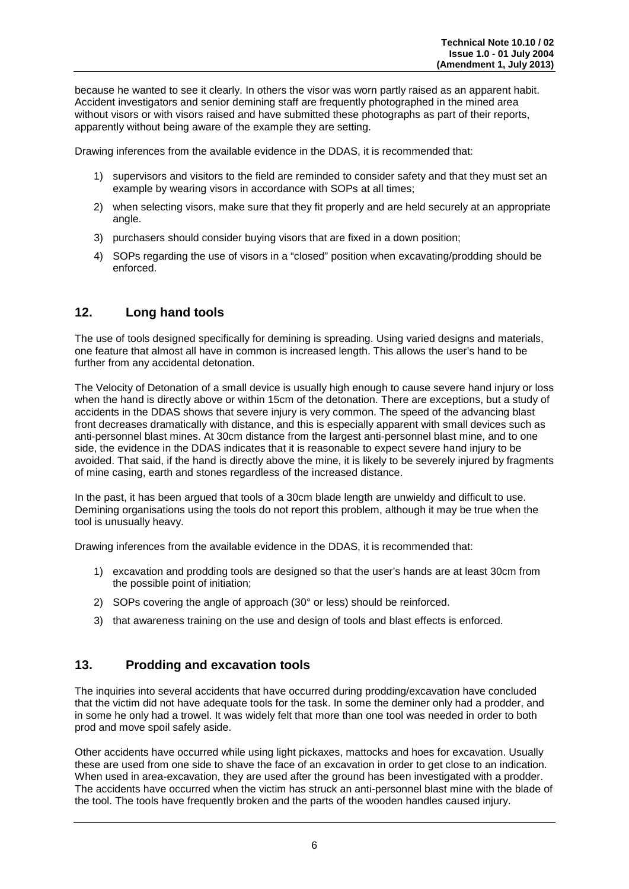because he wanted to see it clearly. In others the visor was worn partly raised as an apparent habit. Accident investigators and senior demining staff are frequently photographed in the mined area without visors or with visors raised and have submitted these photographs as part of their reports, apparently without being aware of the example they are setting.

Drawing inferences from the available evidence in the DDAS, it is recommended that:

- 1) supervisors and visitors to the field are reminded to consider safety and that they must set an example by wearing visors in accordance with SOPs at all times;
- 2) when selecting visors, make sure that they fit properly and are held securely at an appropriate angle.
- 3) purchasers should consider buying visors that are fixed in a down position;
- 4) SOPs regarding the use of visors in a "closed" position when excavating/prodding should be enforced.

#### **12. Long hand tools**

The use of tools designed specifically for demining is spreading. Using varied designs and materials, one feature that almost all have in common is increased length. This allows the user's hand to be further from any accidental detonation.

The Velocity of Detonation of a small device is usually high enough to cause severe hand injury or loss when the hand is directly above or within 15cm of the detonation. There are exceptions, but a study of accidents in the DDAS shows that severe injury is very common. The speed of the advancing blast front decreases dramatically with distance, and this is especially apparent with small devices such as anti-personnel blast mines. At 30cm distance from the largest anti-personnel blast mine, and to one side, the evidence in the DDAS indicates that it is reasonable to expect severe hand injury to be avoided. That said, if the hand is directly above the mine, it is likely to be severely injured by fragments of mine casing, earth and stones regardless of the increased distance.

In the past, it has been argued that tools of a 30cm blade length are unwieldy and difficult to use. Demining organisations using the tools do not report this problem, although it may be true when the tool is unusually heavy.

Drawing inferences from the available evidence in the DDAS, it is recommended that:

- 1) excavation and prodding tools are designed so that the user's hands are at least 30cm from the possible point of initiation;
- 2) SOPs covering the angle of approach (30° or less) should be reinforced.
- 3) that awareness training on the use and design of tools and blast effects is enforced.

#### **13. Prodding and excavation tools**

The inquiries into several accidents that have occurred during prodding/excavation have concluded that the victim did not have adequate tools for the task. In some the deminer only had a prodder, and in some he only had a trowel. It was widely felt that more than one tool was needed in order to both prod and move spoil safely aside.

Other accidents have occurred while using light pickaxes, mattocks and hoes for excavation. Usually these are used from one side to shave the face of an excavation in order to get close to an indication. When used in area-excavation, they are used after the ground has been investigated with a prodder. The accidents have occurred when the victim has struck an anti-personnel blast mine with the blade of the tool. The tools have frequently broken and the parts of the wooden handles caused injury.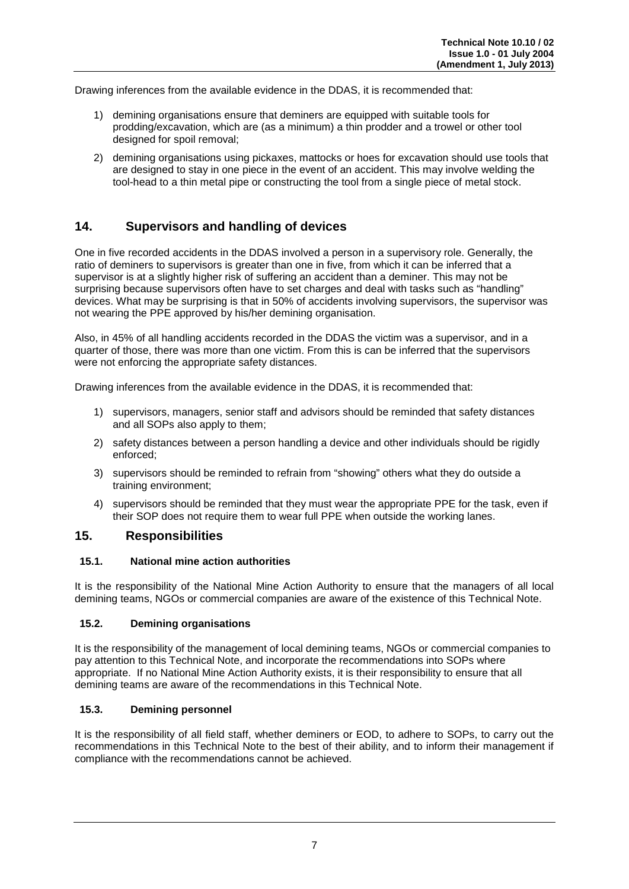Drawing inferences from the available evidence in the DDAS, it is recommended that:

- 1) demining organisations ensure that deminers are equipped with suitable tools for prodding/excavation, which are (as a minimum) a thin prodder and a trowel or other tool designed for spoil removal:
- 2) demining organisations using pickaxes, mattocks or hoes for excavation should use tools that are designed to stay in one piece in the event of an accident. This may involve welding the tool-head to a thin metal pipe or constructing the tool from a single piece of metal stock.

## **14. Supervisors and handling of devices**

One in five recorded accidents in the DDAS involved a person in a supervisory role. Generally, the ratio of deminers to supervisors is greater than one in five, from which it can be inferred that a supervisor is at a slightly higher risk of suffering an accident than a deminer. This may not be surprising because supervisors often have to set charges and deal with tasks such as "handling" devices. What may be surprising is that in 50% of accidents involving supervisors, the supervisor was not wearing the PPE approved by his/her demining organisation.

Also, in 45% of all handling accidents recorded in the DDAS the victim was a supervisor, and in a quarter of those, there was more than one victim. From this is can be inferred that the supervisors were not enforcing the appropriate safety distances.

Drawing inferences from the available evidence in the DDAS, it is recommended that:

- 1) supervisors, managers, senior staff and advisors should be reminded that safety distances and all SOPs also apply to them;
- 2) safety distances between a person handling a device and other individuals should be rigidly enforced;
- 3) supervisors should be reminded to refrain from "showing" others what they do outside a training environment;
- 4) supervisors should be reminded that they must wear the appropriate PPE for the task, even if their SOP does not require them to wear full PPE when outside the working lanes.

#### **15. Responsibilities**

#### **15.1. National mine action authorities**

It is the responsibility of the National Mine Action Authority to ensure that the managers of all local demining teams, NGOs or commercial companies are aware of the existence of this Technical Note.

#### **15.2. Demining organisations**

It is the responsibility of the management of local demining teams, NGOs or commercial companies to pay attention to this Technical Note, and incorporate the recommendations into SOPs where appropriate. If no National Mine Action Authority exists, it is their responsibility to ensure that all demining teams are aware of the recommendations in this Technical Note.

#### **15.3. Demining personnel**

It is the responsibility of all field staff, whether deminers or EOD, to adhere to SOPs, to carry out the recommendations in this Technical Note to the best of their ability, and to inform their management if compliance with the recommendations cannot be achieved.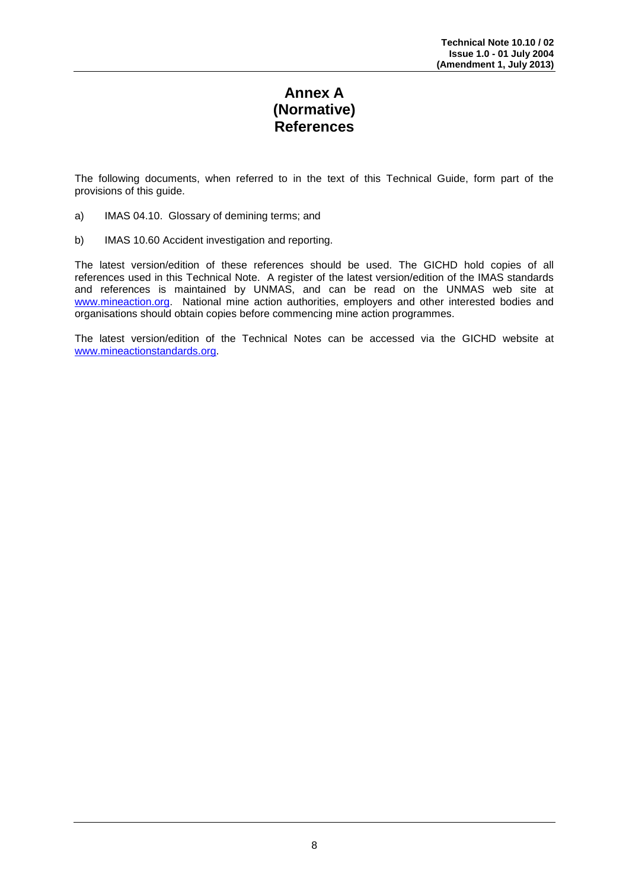# **Annex A (Normative) References**

The following documents, when referred to in the text of this Technical Guide, form part of the provisions of this guide.

- a) IMAS 04.10. Glossary of demining terms; and
- b) IMAS 10.60 Accident investigation and reporting.

The latest version/edition of these references should be used. The GICHD hold copies of all references used in this Technical Note. A register of the latest version/edition of the IMAS standards and references is maintained by UNMAS, and can be read on the UNMAS web site at [www.mineaction.org.](http://www.mineaction.org/) National mine action authorities, employers and other interested bodies and organisations should obtain copies before commencing mine action programmes.

The latest version/edition of the Technical Notes can be accessed via the GICHD website at [www.mineactionstandards.org.](http://www.mineactionstandards.org/)